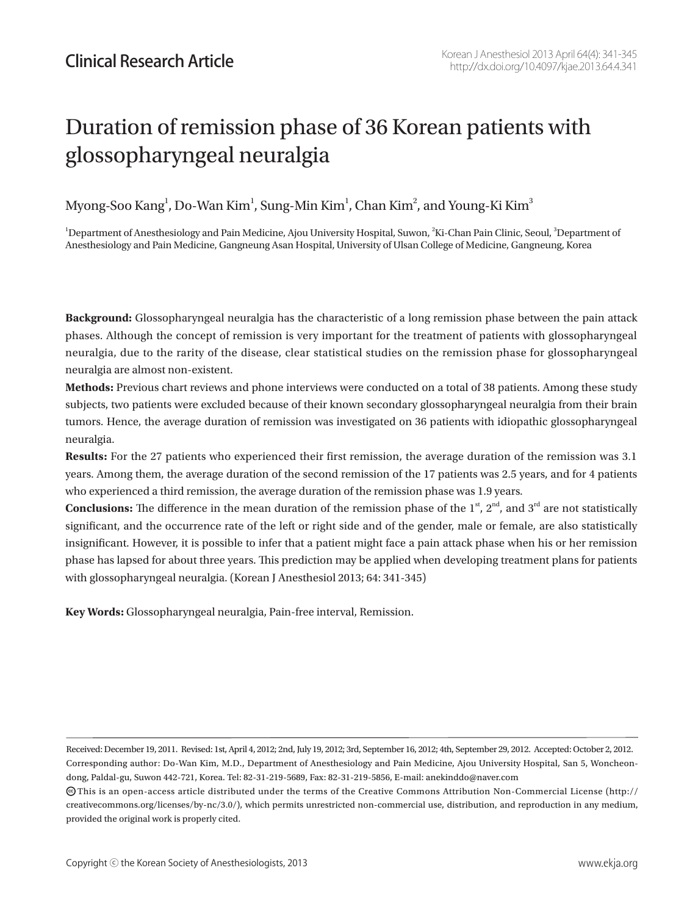# Duration of remission phase of 36 Korean patients with glossopharyngeal neuralgia

Myong-Soo Kang $^{\rm l}$ , Do-Wan Kim $^{\rm l}$ , Sung-Min Kim $^{\rm l}$ , Chan Kim $^{\rm 2}$ , and Young-Ki Kim $^{\rm 3}$ 

<sup>1</sup>Department of Anesthesiology and Pain Medicine, Ajou University Hospital, Suwon, <sup>2</sup>Ki-Chan Pain Clinic, Seoul, <sup>3</sup>Department of Anesthesiology and Pain Medicine, Gangneung Asan Hospital, University of Ulsan College of Medicine, Gangneung, Korea

**Background:** Glossopharyngeal neuralgia has the characteristic of a long remission phase between the pain attack phases. Although the concept of remission is very important for the treatment of patients with glossopharyngeal neuralgia, due to the rarity of the disease, clear statistical studies on the remission phase for glossopharyngeal neuralgia are almost non-existent.

**Methods:** Previous chart reviews and phone interviews were conducted on a total of 38 patients. Among these study subjects, two patients were excluded because of their known secondary glossopharyngeal neuralgia from their brain tumors. Hence, the average duration of remission was investigated on 36 patients with idiopathic glossopharyngeal neuralgia.

**Results:** For the 27 patients who experienced their first remission, the average duration of the remission was 3.1 years. Among them, the average duration of the second remission of the 17 patients was 2.5 years, and for 4 patients who experienced a third remission, the average duration of the remission phase was 1.9 years.

**Conclusions:** The difference in the mean duration of the remission phase of the  $1<sup>st</sup>$ ,  $2<sup>nd</sup>$ , and  $3<sup>rd</sup>$  are not statistically significant, and the occurrence rate of the left or right side and of the gender, male or female, are also statistically insignificant. However, it is possible to infer that a patient might face a pain attack phase when his or her remission phase has lapsed for about three years. This prediction may be applied when developing treatment plans for patients with glossopharyngeal neuralgia. (Korean J Anesthesiol 2013; 64: 341-345)

**Key Words:** Glossopharyngeal neuralgia, Pain-free interval, Remission.

Received: December 19, 2011. Revised: 1st, April 4, 2012; 2nd, July 19, 2012; 3rd, September 16, 2012; 4th, September 29, 2012. Accepted: October 2, 2012. Corresponding author: Do-Wan Kim, M.D., Department of Anesthesiology and Pain Medicine, Ajou University Hospital, San 5, Woncheondong, Paldal-gu, Suwon 442-721, Korea. Tel: 82-31-219-5689, Fax: 82-31-219-5856, E-mail: anekinddo@naver.com

 $\bm{\odot}$ This is an open-access article distributed under the terms of the Creative Commons Attribution Non-Commercial License (http:// creativecommons.org/licenses/by-nc/3.0/), which permits unrestricted non-commercial use, distribution, and reproduction in any medium, provided the original work is properly cited.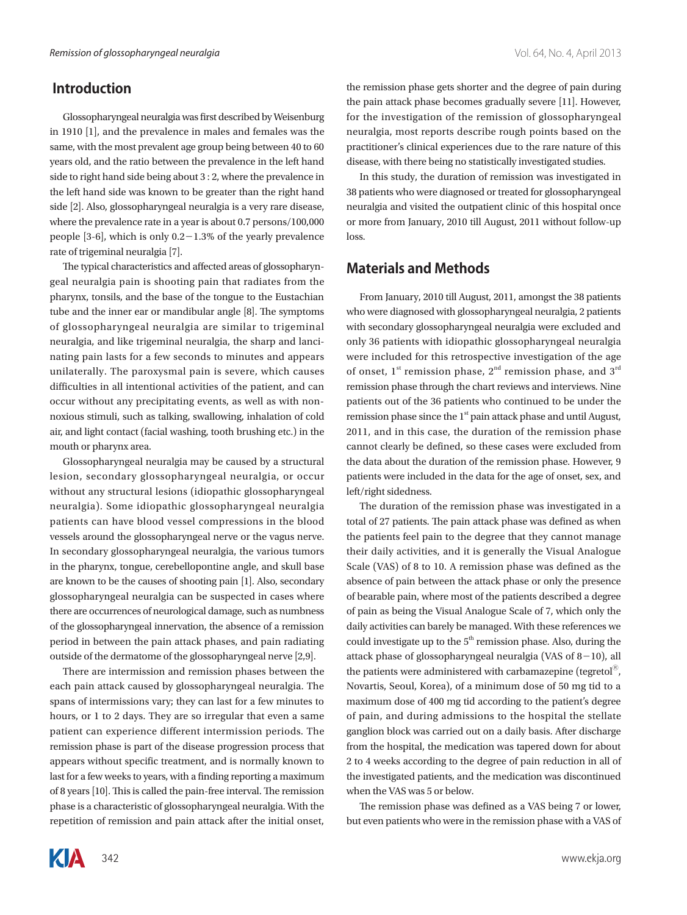#### **Introduction**

Glossopharyngeal neuralgia was first described by Weisenburg in 1910 [1], and the prevalence in males and females was the same, with the most prevalent age group being between 40 to 60 years old, and the ratio between the prevalence in the left hand side to right hand side being about 3 : 2, where the prevalence in the left hand side was known to be greater than the right hand side [2]. Also, glossopharyngeal neuralgia is a very rare disease, where the prevalence rate in a year is about 0.7 persons/100,000 people [3-6], which is only  $0.2-1.3\%$  of the yearly prevalence rate of trigeminal neuralgia [7].

The typical characteristics and affected areas of glossopharyngeal neuralgia pain is shooting pain that radiates from the pharynx, tonsils, and the base of the tongue to the Eustachian tube and the inner ear or mandibular angle [8]. The symptoms of glossopharyngeal neuralgia are similar to trigeminal neuralgia, and like trigeminal neuralgia, the sharp and lancinating pain lasts for a few seconds to minutes and appears unilaterally. The paroxysmal pain is severe, which causes difficulties in all intentional activities of the patient, and can occur without any precipitating events, as well as with nonnoxious stimuli, such as talking, swallowing, inhalation of cold air, and light contact (facial washing, tooth brushing etc.) in the mouth or pharynx area.

Glossopharyngeal neuralgia may be caused by a structural lesion, secondary glossopharyngeal neuralgia, or occur without any structural lesions (idiopathic glossopharyngeal neuralgia). Some idiopathic glossopharyngeal neuralgia patients can have blood vessel compressions in the blood vessels around the glossopharyngeal nerve or the vagus nerve. In secondary glossopharyngeal neuralgia, the various tumors in the pharynx, tongue, cerebellopontine angle, and skull base are known to be the causes of shooting pain [1]. Also, secondary glossopharyngeal neuralgia can be suspected in cases where there are occurrences of neurological damage, such as numbness of the glossopharyngeal innervation, the absence of a remission period in between the pain attack phases, and pain radiating outside of the dermatome of the glossopharyngeal nerve [2,9].

There are intermission and remission phases between the each pain attack caused by glossopharyngeal neuralgia. The spans of intermissions vary; they can last for a few minutes to hours, or 1 to 2 days. They are so irregular that even a same patient can experience different intermission periods. The remission phase is part of the disease progression process that appears without specific treatment, and is normally known to last for a few weeks to years, with a finding reporting a maximum of 8 years [10]. This is called the pain-free interval. The remission phase is a characteristic of glossopharyngeal neuralgia. With the repetition of remission and pain attack after the initial onset,

the remission phase gets shorter and the degree of pain during the pain attack phase becomes gradually severe [11]. However, for the investigation of the remission of glossopharyngeal neuralgia, most reports describe rough points based on the practitioner's clinical experiences due to the rare nature of this disease, with there being no statistically investigated studies.

In this study, the duration of remission was investigated in 38 patients who were diagnosed or treated for glossopharyngeal neuralgia and visited the outpatient clinic of this hospital once or more from January, 2010 till August, 2011 without follow-up loss.

#### **Materials and Methods**

From January, 2010 till August, 2011, amongst the 38 patients who were diagnosed with glossopharyngeal neuralgia, 2 patients with secondary glossopharyngeal neuralgia were excluded and only 36 patients with idiopathic glossopharyngeal neuralgia were included for this retrospective investigation of the age of onset,  $1^{st}$  remission phase,  $2^{nd}$  remission phase, and  $3^{rd}$ remission phase through the chart reviews and interviews. Nine patients out of the 36 patients who continued to be under the remission phase since the  $1<sup>st</sup>$  pain attack phase and until August, 2011, and in this case, the duration of the remission phase cannot clearly be defined, so these cases were excluded from the data about the duration of the remission phase. However, 9 patients were included in the data for the age of onset, sex, and left/right sidedness.

The duration of the remission phase was investigated in a total of 27 patients. The pain attack phase was defined as when the patients feel pain to the degree that they cannot manage their daily activities, and it is generally the Visual Analogue Scale (VAS) of 8 to 10. A remission phase was defined as the absence of pain between the attack phase or only the presence of bearable pain, where most of the patients described a degree of pain as being the Visual Analogue Scale of 7, which only the daily activities can barely be managed. With these references we could investigate up to the  $5<sup>th</sup>$  remission phase. Also, during the attack phase of glossopharyngeal neuralgia (VAS of 8-10), all the patients were administered with carbamazepine (tegretol<sup>®</sup>, Novartis, Seoul, Korea), of a minimum dose of 50 mg tid to a maximum dose of 400 mg tid according to the patient's degree of pain, and during admissions to the hospital the stellate ganglion block was carried out on a daily basis. After discharge from the hospital, the medication was tapered down for about 2 to 4 weeks according to the degree of pain reduction in all of the investigated patients, and the medication was discontinued when the VAS was 5 or below.

The remission phase was defined as a VAS being 7 or lower, but even patients who were in the remission phase with a VAS of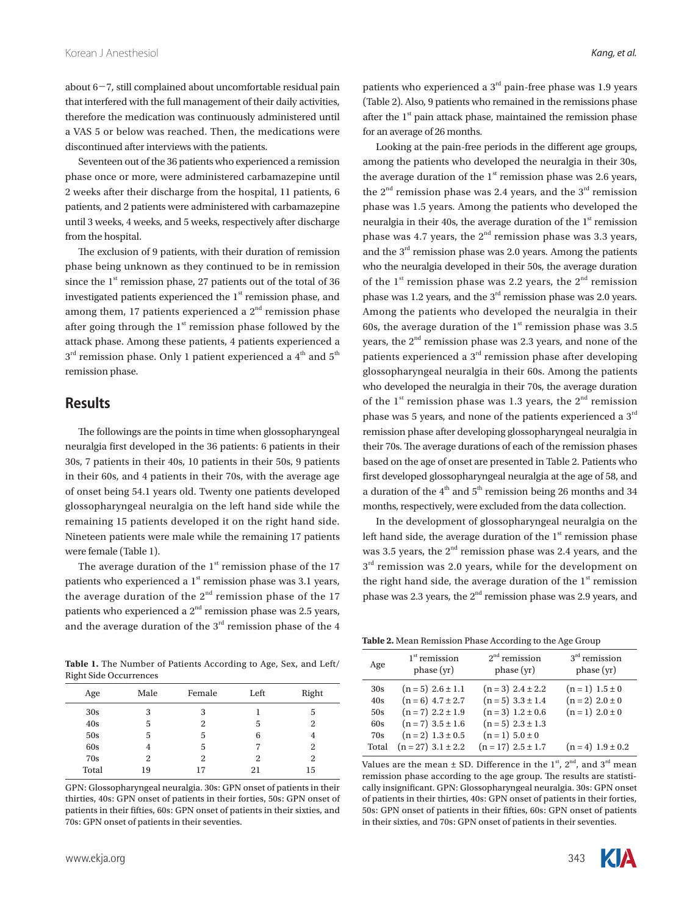about  $6-7$ , still complained about uncomfortable residual pain that interfered with the full management of their daily activities, therefore the medication was continuously administered until a VAS 5 or below was reached. Then, the medications were discontinued after interviews with the patients.

Seventeen out of the 36 patients who experienced a remission phase once or more, were administered carbamazepine until 2 weeks after their discharge from the hospital, 11 patients, 6 patients, and 2 patients were administered with carbamazepine until 3 weeks, 4 weeks, and 5 weeks, respectively after discharge from the hospital.

The exclusion of 9 patients, with their duration of remission phase being unknown as they continued to be in remission since the  $1<sup>st</sup>$  remission phase, 27 patients out of the total of 36 investigated patients experienced the  $1<sup>st</sup>$  remission phase, and among them, 17 patients experienced a  $2<sup>nd</sup>$  remission phase after going through the  $1<sup>st</sup>$  remission phase followed by the attack phase. Among these patients, 4 patients experienced a  $3<sup>rd</sup>$  remission phase. Only 1 patient experienced a 4<sup>th</sup> and  $5<sup>th</sup>$ remission phase.

#### **Results**

The followings are the points in time when glossopharyngeal neuralgia first developed in the 36 patients: 6 patients in their 30s, 7 patients in their 40s, 10 patients in their 50s, 9 patients in their 60s, and 4 patients in their 70s, with the average age of onset being 54.1 years old. Twenty one patients developed glossopharyngeal neuralgia on the left hand side while the remaining 15 patients developed it on the right hand side. Nineteen patients were male while the remaining 17 patients were female (Table 1).

The average duration of the  $1<sup>st</sup>$  remission phase of the 17 patients who experienced a  $1<sup>st</sup>$  remission phase was 3.1 years, the average duration of the  $2<sup>nd</sup>$  remission phase of the 17 patients who experienced a  $2<sup>nd</sup>$  remission phase was 2.5 years, and the average duration of the 3<sup>rd</sup> remission phase of the 4

**Table 1.** The Number of Patients According to Age, Sex, and Left/ Right Side Occurrences

| Age   | Male | Female         | Left           | Right |
|-------|------|----------------|----------------|-------|
| 30s   | 3    | 3              |                | 5     |
| 40s   | 5    | 2              | 5              | 2     |
| 50s   | 5    | 5              | 6              | 4     |
| 60s   | 4    | 5              |                | 2     |
| 70s   | 2    | $\mathfrak{D}$ | $\overline{2}$ | 2     |
| Total | 19   |                | 21             | 15    |

GPN: Glossopharyngeal neuralgia. 30s: GPN onset of patients in their thirties, 40s: GPN onset of patients in their forties, 50s: GPN onset of patients in their fifties, 60s: GPN onset of patients in their sixties, and 70s: GPN onset of patients in their seventies.

patients who experienced a  $3<sup>rd</sup>$  pain-free phase was 1.9 years (Table 2). Also, 9 patients who remained in the remissions phase after the  $1<sup>st</sup>$  pain attack phase, maintained the remission phase for an average of 26 months.

Looking at the pain-free periods in the different age groups, among the patients who developed the neuralgia in their 30s, the average duration of the  $1<sup>st</sup>$  remission phase was 2.6 years, the  $2<sup>nd</sup>$  remission phase was 2.4 years, and the  $3<sup>rd</sup>$  remission phase was 1.5 years. Among the patients who developed the neuralgia in their 40s, the average duration of the  $1<sup>st</sup>$  remission phase was 4.7 years, the  $2<sup>nd</sup>$  remission phase was 3.3 years, and the  $3<sup>rd</sup>$  remission phase was 2.0 years. Among the patients who the neuralgia developed in their 50s, the average duration of the 1<sup>st</sup> remission phase was 2.2 years, the  $2<sup>nd</sup>$  remission phase was 1.2 years, and the  $3<sup>rd</sup>$  remission phase was 2.0 years. Among the patients who developed the neuralgia in their 60s, the average duration of the  $1<sup>st</sup>$  remission phase was 3.5 years, the 2<sup>nd</sup> remission phase was 2.3 years, and none of the patients experienced a 3rd remission phase after developing glossopharyngeal neuralgia in their 60s. Among the patients who developed the neuralgia in their 70s, the average duration of the  $1<sup>st</sup>$  remission phase was 1.3 years, the  $2<sup>nd</sup>$  remission phase was 5 years, and none of the patients experienced a 3<sup>rd</sup> remission phase after developing glossopharyngeal neuralgia in their 70s. The average durations of each of the remission phases based on the age of onset are presented in Table 2. Patients who first developed glossopharyngeal neuralgia at the age of 58, and a duration of the  $4<sup>th</sup>$  and  $5<sup>th</sup>$  remission being 26 months and 34 months, respectively, were excluded from the data collection.

In the development of glossopharyngeal neuralgia on the left hand side, the average duration of the  $1<sup>st</sup>$  remission phase was 3.5 years, the  $2<sup>nd</sup>$  remission phase was 2.4 years, and the  $3<sup>rd</sup>$  remission was 2.0 years, while for the development on the right hand side, the average duration of the  $1<sup>st</sup>$  remission phase was 2.3 years, the  $2<sup>nd</sup>$  remission phase was 2.9 years, and

| Table 2. Mean Remission Phase According to the Age Group |  |  |  |
|----------------------------------------------------------|--|--|--|
|----------------------------------------------------------|--|--|--|

| Age   | $1st$ remission<br>phase(yr) | $2nd$ remission<br>phase(yr) | $3rd$ remission<br>phase(yr) |
|-------|------------------------------|------------------------------|------------------------------|
| 30s   | $(n=5)$ 2.6 ± 1.1            | $(n=3)$ 2.4 ± 2.2            | $(n=1)$ 1.5 ± 0              |
| 40s   | $(n=6)$ 4.7 ± 2.7            | $(n=5)$ 3.3 ± 1.4            | $(n=2)$ 2.0 ± 0              |
| 50s   | $(n=7)$ 2.2 ± 1.9            | $(n=3)$ 1.2 ± 0.6            | $(n=1)$ 2.0 ± 0              |
| 60s   | $(n=7)$ 3.5 ± 1.6            | $(n=5)$ 2.3 ± 1.3            |                              |
| 70s   | $(n=2)$ 1.3 ± 0.5            | $(n=1)$ 5.0 ± 0              |                              |
| Total | $(n = 27)$ 3.1 ± 2.2         | $(n = 17)$ 2.5 ± 1.7         | $(n = 4)$ 1.9 ± 0.2          |

Values are the mean  $\pm$  SD. Difference in the 1<sup>st</sup>, 2<sup>nd</sup>, and 3<sup>rd</sup> mean remission phase according to the age group. The results are statistically insignificant. GPN: Glossopharyngeal neuralgia. 30s: GPN onset of patients in their thirties, 40s: GPN onset of patients in their forties, 50s: GPN onset of patients in their fifties, 60s: GPN onset of patients in their sixties, and 70s: GPN onset of patients in their seventies.

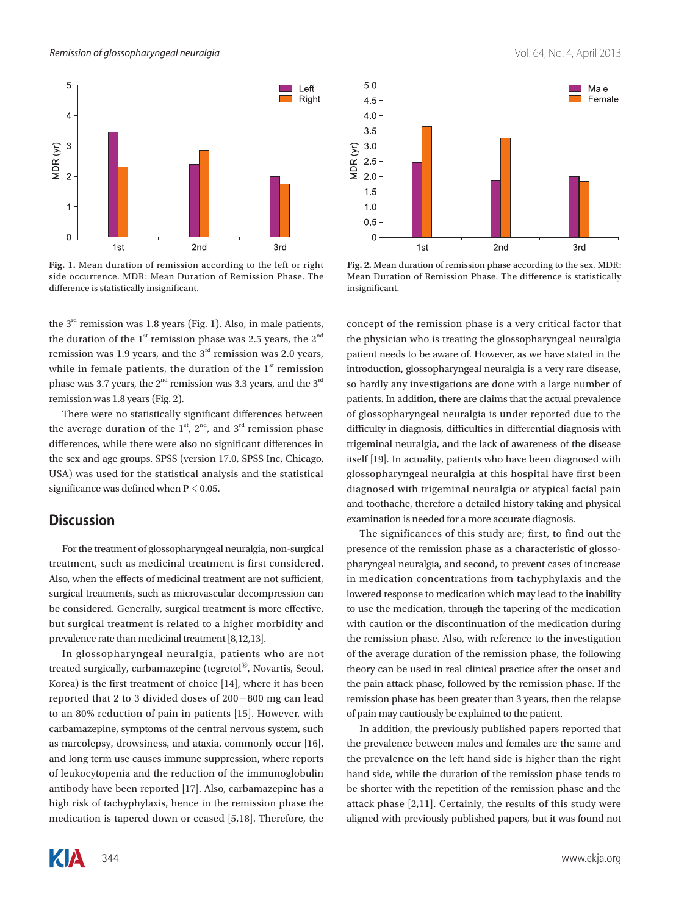

**Fig. 1.** Mean duration of remission according to the left or right side occurrence. MDR: Mean Duration of Remission Phase. The difference is statistically insignificant.

the  $3<sup>rd</sup>$  remission was 1.8 years (Fig. 1). Also, in male patients, the duration of the  $1<sup>st</sup>$  remission phase was 2.5 years, the  $2<sup>nd</sup>$ remission was 1.9 years, and the  $3<sup>rd</sup>$  remission was 2.0 years, while in female patients, the duration of the  $1<sup>st</sup>$  remission phase was 3.7 years, the  $2<sup>nd</sup>$  remission was 3.3 years, and the  $3<sup>rd</sup>$ remission was 1.8 years (Fig. 2).

There were no statistically significant differences between the average duration of the  $1<sup>st</sup>$ ,  $2<sup>nd</sup>$ , and  $3<sup>rd</sup>$  remission phase differences, while there were also no significant differences in the sex and age groups. SPSS (version 17.0, SPSS Inc, Chicago, USA) was used for the statistical analysis and the statistical significance was defined when  $P < 0.05$ .

### **Discussion**

For the treatment of glossopharyngeal neuralgia, non-surgical treatment, such as medicinal treatment is first considered. Also, when the effects of medicinal treatment are not sufficient, surgical treatments, such as microvascular decompression can be considered. Generally, surgical treatment is more effective, but surgical treatment is related to a higher morbidity and prevalence rate than medicinal treatment [8,12,13].

In glossopharyngeal neuralgia, patients who are not treated surgically, carbamazepine (tegretol<sup>®</sup>, Novartis, Seoul, Korea) is the first treatment of choice [14], where it has been reported that 2 to 3 divided doses of 200-800 mg can lead to an 80% reduction of pain in patients [15]. However, with carbamazepine, symptoms of the central nervous system, such as narcolepsy, drowsiness, and ataxia, commonly occur [16], and long term use causes immune suppression, where reports of leukocytopenia and the reduction of the immunoglobulin antibody have been reported [17]. Also, carbamazepine has a high risk of tachyphylaxis, hence in the remission phase the medication is tapered down or ceased [5,18]. Therefore, the





**Fig. 2.** Mean duration of remission phase according to the sex. MDR: Mean Duration of Remission Phase. The difference is statistically insignificant.

concept of the remission phase is a very critical factor that the physician who is treating the glossopharyngeal neuralgia patient needs to be aware of. However, as we have stated in the introduction, glossopharyngeal neuralgia is a very rare disease, so hardly any investigations are done with a large number of patients. In addition, there are claims that the actual prevalence of glossopharyngeal neuralgia is under reported due to the difficulty in diagnosis, difficulties in differential diagnosis with trigeminal neuralgia, and the lack of awareness of the disease itself [19]. In actuality, patients who have been diagnosed with glossopharyngeal neuralgia at this hospital have first been diagnosed with trigeminal neuralgia or atypical facial pain and toothache, therefore a detailed history taking and physical examination is needed for a more accurate diagnosis.

The significances of this study are; first, to find out the presence of the remission phase as a characteristic of glossopharyngeal neuralgia, and second, to prevent cases of increase in medication concentrations from tachyphylaxis and the lowered response to medication which may lead to the inability to use the medication, through the tapering of the medication with caution or the discontinuation of the medication during the remission phase. Also, with reference to the investigation of the average duration of the remission phase, the following theory can be used in real clinical practice after the onset and the pain attack phase, followed by the remission phase. If the remission phase has been greater than 3 years, then the relapse of pain may cautiously be explained to the patient.

In addition, the previously published papers reported that the prevalence between males and females are the same and the prevalence on the left hand side is higher than the right hand side, while the duration of the remission phase tends to be shorter with the repetition of the remission phase and the attack phase [2,11]. Certainly, the results of this study were aligned with previously published papers, but it was found not